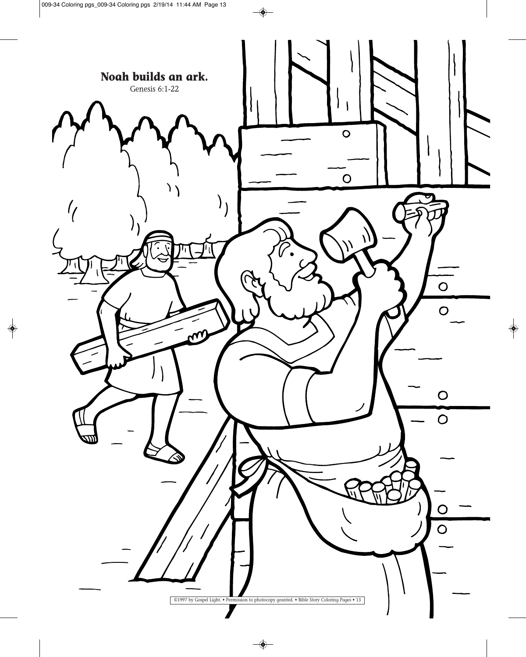